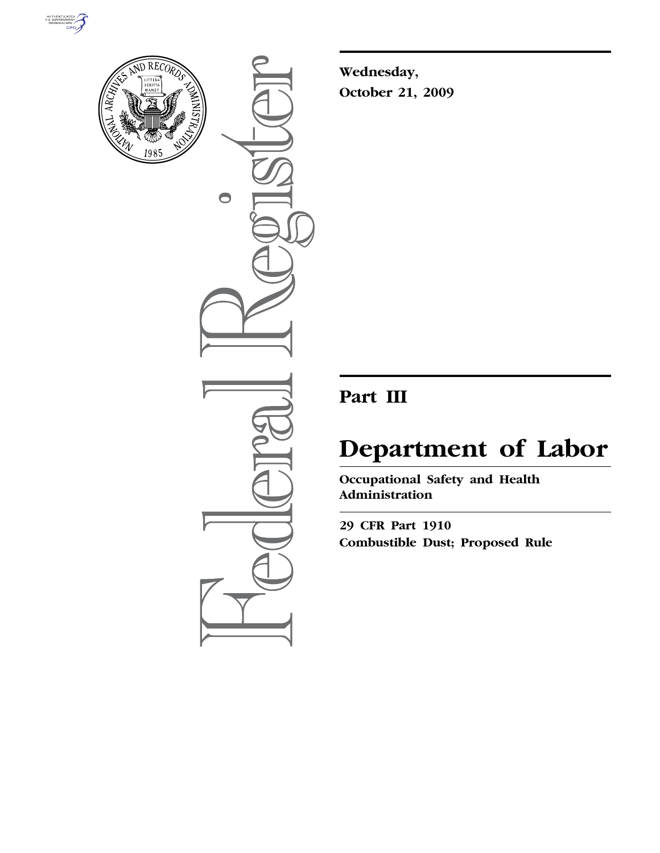



 $\bullet$ 

**Wednesday, October 21, 2009** 

# **Part III**

# **Department of Labor**

**Occupational Safety and Health Administration** 

**29 CFR Part 1910 Combustible Dust; Proposed Rule**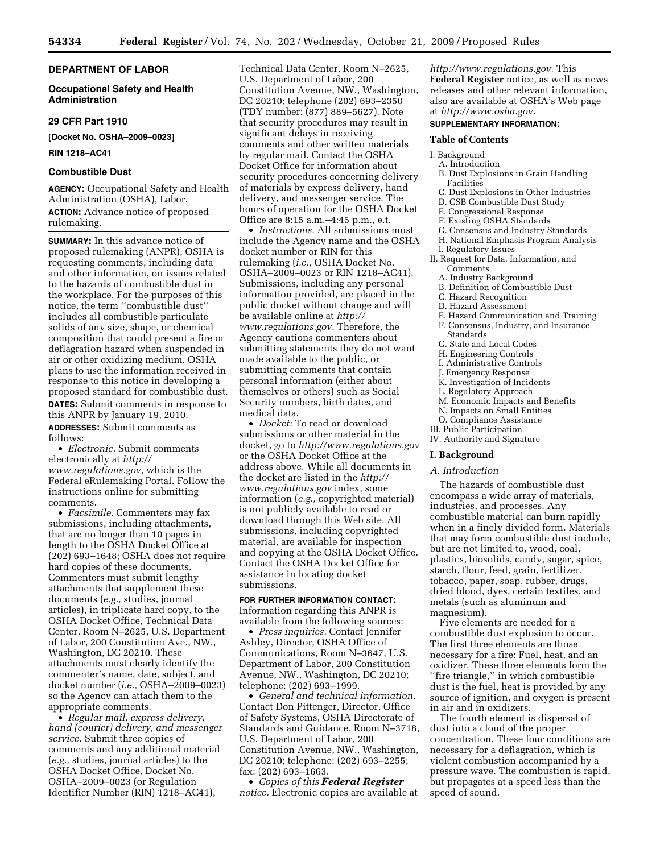# **DEPARTMENT OF LABOR**

# **Occupational Safety and Health Administration**

#### **29 CFR Part 1910**

#### **[Docket No. OSHA–2009–0023]**

**RIN 1218–AC41** 

# **Combustible Dust**

**AGENCY:** Occupational Safety and Health Administration (OSHA), Labor. **ACTION:** Advance notice of proposed rulemaking.

**SUMMARY:** In this advance notice of proposed rulemaking (ANPR), OSHA is requesting comments, including data and other information, on issues related to the hazards of combustible dust in the workplace. For the purposes of this notice, the term ''combustible dust'' includes all combustible particulate solids of any size, shape, or chemical composition that could present a fire or deflagration hazard when suspended in air or other oxidizing medium. OSHA plans to use the information received in response to this notice in developing a proposed standard for combustible dust. **DATES:** Submit comments in response to this ANPR by January 19, 2010. **ADDRESSES:** Submit comments as follows:

• *Electronic.* Submit comments electronically at *http:// www.regulations.gov,* which is the Federal eRulemaking Portal. Follow the instructions online for submitting comments.

• *Facsimile.* Commenters may fax submissions, including attachments, that are no longer than 10 pages in length to the OSHA Docket Office at (202) 693–1648; OSHA does not require hard copies of these documents. Commenters must submit lengthy attachments that supplement these documents (*e.g.,* studies, journal articles), in triplicate hard copy, to the OSHA Docket Office, Technical Data Center, Room N–2625, U.S. Department of Labor, 200 Constitution Ave., NW., Washington, DC 20210. These attachments must clearly identify the commenter's name, date, subject, and docket number (*i.e.,* OSHA–2009–0023) so the Agency can attach them to the appropriate comments.

• *Regular mail, express delivery, hand (courier) delivery, and messenger service.* Submit three copies of comments and any additional material (*e.g.,* studies, journal articles) to the OSHA Docket Office, Docket No. OSHA–2009–0023 (or Regulation Identifier Number (RIN) 1218–AC41),

Technical Data Center, Room N–2625, U.S. Department of Labor, 200 Constitution Avenue, NW., Washington, DC 20210; telephone (202) 693–2350 (TDY number: (877) 889–5627). Note that security procedures may result in significant delays in receiving comments and other written materials by regular mail. Contact the OSHA Docket Office for information about security procedures concerning delivery of materials by express delivery, hand delivery, and messenger service. The hours of operation for the OSHA Docket Office are 8:15 a.m.–4:45 p.m., e.t.

• *Instructions.* All submissions must include the Agency name and the OSHA docket number or RIN for this rulemaking (*i.e.,* OSHA Docket No. OSHA–2009–0023 or RIN 1218–AC41). Submissions, including any personal information provided, are placed in the public docket without change and will be available online at *http:// www.regulations.gov.* Therefore, the Agency cautions commenters about submitting statements they do not want made available to the public, or submitting comments that contain personal information (either about themselves or others) such as Social Security numbers, birth dates, and medical data.

• *Docket:* To read or download submissions or other material in the docket, go to *http://www.regulations.gov*  or the OSHA Docket Office at the address above. While all documents in the docket are listed in the *http:// www.regulations.gov* index, some information (*e.g.,* copyrighted material) is not publicly available to read or download through this Web site. All submissions, including copyrighted material, are available for inspection and copying at the OSHA Docket Office. Contact the OSHA Docket Office for assistance in locating docket submissions.

# **FOR FURTHER INFORMATION CONTACT:**

Information regarding this ANPR is available from the following sources:

• *Press inquiries.* Contact Jennifer Ashley, Director, OSHA Office of Communications, Room N–3647, U.S. Department of Labor, 200 Constitution Avenue, NW., Washington, DC 20210; telephone: (202) 693–1999.

• *General and technical information.*  Contact Don Pittenger, Director, Office of Safety Systems, OSHA Directorate of Standards and Guidance, Room N–3718, U.S. Department of Labor, 200 Constitution Avenue, NW., Washington, DC 20210; telephone: (202) 693–2255; fax: (202) 693–1663.

• *Copies of this Federal Register notice.* Electronic copies are available at

*http://www.regulations.gov.* This **Federal Register** notice, as well as news releases and other relevant information, also are available at OSHA's Web page at *http://www.osha.gov.* 

# **SUPPLEMENTARY INFORMATION:**

# **Table of Contents**

# I. Background

# A. Introduction

- B. Dust Explosions in Grain Handling Facilities
- C. Dust Explosions in Other Industries
- D. CSB Combustible Dust Study
- E. Congressional Response
- F. Existing OSHA Standards
- G. Consensus and Industry Standards
- H. National Emphasis Program Analysis
- I. Regulatory Issues
- II. Request for Data, Information, and Comments
	- A. Industry Background
	- B. Definition of Combustible Dust
	- C. Hazard Recognition
	- D. Hazard Assessment
	- E. Hazard Communication and Training F. Consensus, Industry, and Insurance
	- Standards
	- G. State and Local Codes
	- H. Engineering Controls
	- I. Administrative Controls
	- J. Emergency Response
	- K. Investigation of Incidents
	- L. Regulatory Approach
	- M. Economic Impacts and Benefits
	- N. Impacts on Small Entities
- O. Compliance Assistance III. Public Participation
- IV. Authority and Signature

# **I. Background**

#### *A. Introduction*

The hazards of combustible dust encompass a wide array of materials, industries, and processes. Any combustible material can burn rapidly when in a finely divided form. Materials that may form combustible dust include, but are not limited to, wood, coal, plastics, biosolids, candy, sugar, spice, starch, flour, feed, grain, fertilizer, tobacco, paper, soap, rubber, drugs, dried blood, dyes, certain textiles, and metals (such as aluminum and magnesium).

Five elements are needed for a combustible dust explosion to occur. The first three elements are those necessary for a fire: Fuel, heat, and an oxidizer. These three elements form the ''fire triangle,'' in which combustible dust is the fuel, heat is provided by any source of ignition, and oxygen is present in air and in oxidizers.

The fourth element is dispersal of dust into a cloud of the proper concentration. These four conditions are necessary for a deflagration, which is violent combustion accompanied by a pressure wave. The combustion is rapid, but propagates at a speed less than the speed of sound.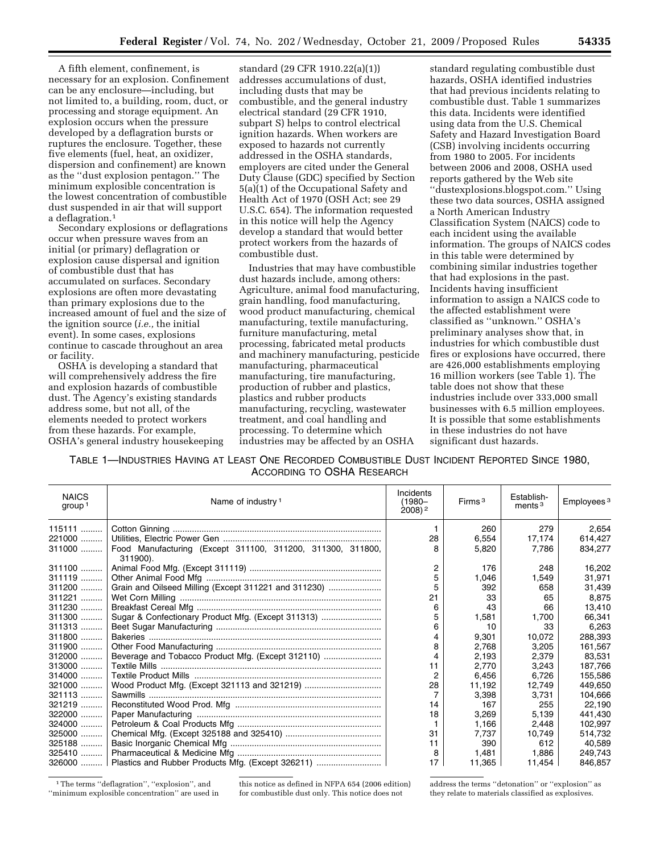A fifth element, confinement, is necessary for an explosion. Confinement can be any enclosure—including, but not limited to, a building, room, duct, or processing and storage equipment. An explosion occurs when the pressure developed by a deflagration bursts or ruptures the enclosure. Together, these five elements (fuel, heat, an oxidizer, dispersion and confinement) are known as the ''dust explosion pentagon.'' The minimum explosible concentration is the lowest concentration of combustible dust suspended in air that will support a deflagration.1

Secondary explosions or deflagrations occur when pressure waves from an initial (or primary) deflagration or explosion cause dispersal and ignition of combustible dust that has accumulated on surfaces. Secondary explosions are often more devastating than primary explosions due to the increased amount of fuel and the size of the ignition source (*i.e.,* the initial event). In some cases, explosions continue to cascade throughout an area or facility.

OSHA is developing a standard that will comprehensively address the fire and explosion hazards of combustible dust. The Agency's existing standards address some, but not all, of the elements needed to protect workers from these hazards. For example, OSHA's general industry housekeeping

standard (29 CFR 1910.22(a)(1)) addresses accumulations of dust, including dusts that may be combustible, and the general industry electrical standard (29 CFR 1910, subpart S) helps to control electrical ignition hazards. When workers are exposed to hazards not currently addressed in the OSHA standards, employers are cited under the General Duty Clause (GDC) specified by Section 5(a)(1) of the Occupational Safety and Health Act of 1970 (OSH Act; see 29 U.S.C. 654). The information requested in this notice will help the Agency develop a standard that would better protect workers from the hazards of combustible dust.

Industries that may have combustible dust hazards include, among others: Agriculture, animal food manufacturing, grain handling, food manufacturing, wood product manufacturing, chemical manufacturing, textile manufacturing, furniture manufacturing, metal processing, fabricated metal products and machinery manufacturing, pesticide manufacturing, pharmaceutical manufacturing, tire manufacturing, production of rubber and plastics, plastics and rubber products manufacturing, recycling, wastewater treatment, and coal handling and processing. To determine which industries may be affected by an OSHA

standard regulating combustible dust hazards, OSHA identified industries that had previous incidents relating to combustible dust. Table 1 summarizes this data. Incidents were identified using data from the U.S. Chemical Safety and Hazard Investigation Board (CSB) involving incidents occurring from 1980 to 2005. For incidents between 2006 and 2008, OSHA used reports gathered by the Web site ''dustexplosions.blogspot.com.'' Using these two data sources, OSHA assigned a North American Industry Classification System (NAICS) code to each incident using the available information. The groups of NAICS codes in this table were determined by combining similar industries together that had explosions in the past. Incidents having insufficient information to assign a NAICS code to the affected establishment were classified as ''unknown.'' OSHA's preliminary analyses show that, in industries for which combustible dust fires or explosions have occurred, there are 426,000 establishments employing 16 million workers (see Table 1). The table does not show that these industries include over 333,000 small businesses with 6.5 million employees. It is possible that some establishments in these industries do not have significant dust hazards.

TABLE 1—INDUSTRIES HAVING AT LEAST ONE RECORDED COMBUSTIBLE DUST INCIDENT REPORTED SINCE 1980, ACCORDING TO OSHA RESEARCH

| <b>NAICS</b><br>group <sup>1</sup> | Name of industry <sup>1</sup>                                          | Incidents<br>$(1980 -$<br>$2008$ ) <sup>2</sup> | Firms <sup>3</sup> | Establish-<br>ments $3$ | Employees <sup>3</sup> |
|------------------------------------|------------------------------------------------------------------------|-------------------------------------------------|--------------------|-------------------------|------------------------|
| 115111                             |                                                                        |                                                 | 260                | 279                     | 2,654                  |
| 221000                             |                                                                        | 28                                              | 6.554              | 17,174                  | 614,427                |
| 311000                             | Food Manufacturing (Except 311100, 311200, 311300, 311800,<br>311900). |                                                 | 5,820              | 7.786                   | 834.277                |
| 311100                             |                                                                        | $\overline{2}$                                  | 176                | 248                     | 16,202                 |
| 311119                             |                                                                        |                                                 | 1.046              | 1,549                   | 31,971                 |
| $311200$                           | Grain and Oilseed Milling (Except 311221 and 311230)                   | 5                                               | 392                | 658                     | 31,439                 |
| 311221                             |                                                                        | 21                                              | 33                 | 65                      | 8,875                  |
| 311230                             |                                                                        | 6                                               | 43                 | 66                      | 13.410                 |
| 311300                             | Sugar & Confectionary Product Mfg. (Except 311313)                     |                                                 | 1,581              | 1.700                   | 66,341                 |
| $311313$                           |                                                                        | 6                                               | 10                 | 33                      | 6,263                  |
| 311800                             |                                                                        |                                                 | 9,301              | 10,072                  | 288,393                |
| 311900                             |                                                                        | 8                                               | 2,768              | 3.205                   | 161,567                |
| 312000                             | Beverage and Tobacco Product Mfg. (Except 312110)                      |                                                 | 2,193              | 2,379                   | 83,531                 |
| 313000                             |                                                                        | 11                                              | 2,770              | 3,243                   | 187.766                |
| 314000                             |                                                                        | 2                                               | 6.456              | 6.726                   | 155.586                |
| 321000                             |                                                                        | 28                                              | 11,192             | 12.749                  | 449,650                |
| 321113                             |                                                                        |                                                 | 3,398              | 3.731                   | 104.666                |
| 321219                             |                                                                        | 14                                              | 167                | 255                     | 22,190                 |
| 322000                             |                                                                        | 18                                              | 3,269              | 5,139                   | 441,430                |
|                                    |                                                                        |                                                 | 1,166              | 2.448                   | 102,997                |
| $325000$                           |                                                                        | 31                                              | 7.737              | 10.749                  | 514.732                |
| $325188$                           |                                                                        | 11                                              | 390                | 612                     | 40,589                 |
|                                    |                                                                        | 8                                               | 1.481              | 1.886                   | 249.743                |
|                                    | 326000  Plastics and Rubber Products Mfg. (Except 326211)              | 17                                              | 11.365             | 11.454                  | 846.857                |

1The terms ''deflagration'', ''explosion'', and ''minimum explosible concentration'' are used in this notice as defined in NFPA 654 (2006 edition) for combustible dust only. This notice does not

address the terms ''detonation'' or ''explosion'' as they relate to materials classified as explosives.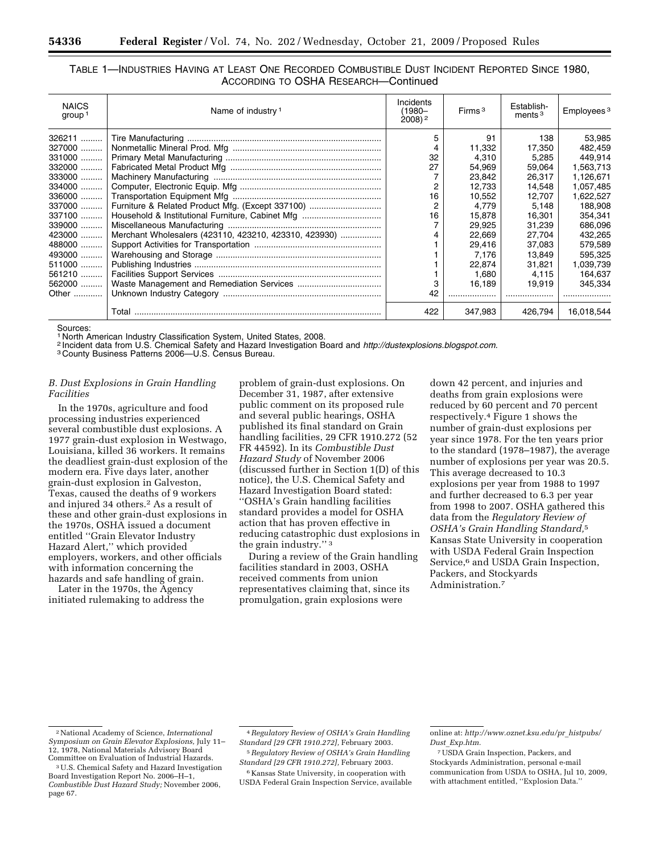| TABLE 1—INDUSTRIES HAVING AT LEAST ONE RECORDED COMBUSTIBLE DUST INCIDENT REPORTED SINCE 1980. |  |
|------------------------------------------------------------------------------------------------|--|
| ACCORDING TO OSHA RESEARCH-Continued                                                           |  |

| <b>NAICS</b><br>group <sup>1</sup> | Name of industry <sup>1</sup>                                   | Incidents<br>(1980-<br>$2008$ ) <sup>2</sup> | Firms $3$ | Establish-<br>ments $3$ | Employees <sup>3</sup> |
|------------------------------------|-----------------------------------------------------------------|----------------------------------------------|-----------|-------------------------|------------------------|
|                                    |                                                                 | 5                                            | 91        | 138                     | 53,985                 |
| 327000                             |                                                                 |                                              | 11,332    | 17,350                  | 482.459                |
|                                    |                                                                 | 32                                           | 4,310     | 5,285                   | 449.914                |
| 332000                             |                                                                 | 27                                           | 54.969    | 59.064                  | 1,563,713              |
| 333000                             |                                                                 |                                              | 23,842    | 26,317                  | 1,126,671              |
|                                    |                                                                 | 2                                            | 12.733    | 14.548                  | 1,057,485              |
|                                    |                                                                 | 16                                           | 10.552    | 12.707                  | 1,622,527              |
|                                    | 337000    Furniture & Related Product Mfg. (Except 337100)      | 2                                            | 4.779     | 5.148                   | 188.908                |
| 337100                             |                                                                 | 16                                           | 15.878    | 16.301                  | 354.341                |
| 339000                             |                                                                 |                                              | 29,925    | 31.239                  | 686,096                |
|                                    | 423000    Merchant Wholesalers (423110, 423210, 423310, 423930) |                                              | 22.669    | 27.704                  | 432,265                |
| 488000                             |                                                                 |                                              | 29,416    | 37.083                  | 579,589                |
|                                    |                                                                 |                                              | 7.176     | 13.849                  | 595.325                |
|                                    |                                                                 |                                              | 22.874    | 31.821                  | 1,039,739              |
| 561210                             |                                                                 |                                              | 1,680     | 4.115                   | 164,637                |
|                                    |                                                                 |                                              | 16.189    | 19.919                  | 345.334                |
|                                    |                                                                 | 42                                           |           |                         |                        |
|                                    | Total                                                           | 422                                          | 347,983   | 426.794                 | 16,018,544             |

Sources:

<sup>1</sup> North American Industry Classification System, United States, 2008.<br><sup>2</sup> Incident data from U.S. Chemical Safety and Hazard Investigation Board and *http://dustexplosions.blogspot.com.*<br><sup>3</sup> County Business Patterns 2006

# *B. Dust Explosions in Grain Handling Facilities*

In the 1970s, agriculture and food processing industries experienced several combustible dust explosions. A 1977 grain-dust explosion in Westwago, Louisiana, killed 36 workers. It remains the deadliest grain-dust explosion of the modern era. Five days later, another grain-dust explosion in Galveston, Texas, caused the deaths of 9 workers and injured 34 others.<sup>2</sup> As a result of these and other grain-dust explosions in the 1970s, OSHA issued a document entitled ''Grain Elevator Industry Hazard Alert,'' which provided employers, workers, and other officials with information concerning the hazards and safe handling of grain.

Later in the 1970s, the Agency initiated rulemaking to address the

problem of grain-dust explosions. On December 31, 1987, after extensive public comment on its proposed rule and several public hearings, OSHA published its final standard on Grain handling facilities, 29 CFR 1910.272 (52 FR 44592). In its *Combustible Dust Hazard Study* of November 2006 (discussed further in Section 1(D) of this notice), the U.S. Chemical Safety and Hazard Investigation Board stated: ''OSHA's Grain handling facilities standard provides a model for OSHA action that has proven effective in reducing catastrophic dust explosions in the grain industry.'' 3

During a review of the Grain handling facilities standard in 2003, OSHA received comments from union representatives claiming that, since its promulgation, grain explosions were

down 42 percent, and injuries and deaths from grain explosions were reduced by 60 percent and 70 percent respectively.4 Figure 1 shows the number of grain-dust explosions per year since 1978. For the ten years prior to the standard (1978–1987), the average number of explosions per year was 20.5. This average decreased to 10.3 explosions per year from 1988 to 1997 and further decreased to 6.3 per year from 1998 to 2007. OSHA gathered this data from the *Regulatory Review of OSHA's Grain Handling Standard,*5 Kansas State University in cooperation with USDA Federal Grain Inspection Service,<sup>6</sup> and USDA Grain Inspection, Packers, and Stockyards Administration.7

*Standard [29 CFR 1910.272],* February 2003. 6 Kansas State University, in cooperation with

<sup>2</sup>National Academy of Science, *International Symposium on Grain Elevator Explosions,* July 11– 12, 1978, National Materials Advisory Board

<sup>&</sup>lt;sup>3</sup> U.S. Chemical Safety and Hazard Investigation Board Investigation Report No. 2006–H–1, *Combustible Dust Hazard Study;* November 2006, page 67.

<sup>4</sup>*Regulatory Review of OSHA's Grain Handling Standard [29 CFR 1910.272],* February 2003. 5*Regulatory Review of OSHA's Grain Handling* 

USDA Federal Grain Inspection Service, available

online at: *http://www.oznet.ksu.edu/pr*\_*histpubs/ Dust*\_*Exp.htm.* 

<sup>7</sup>USDA Grain Inspection, Packers, and Stockyards Administration, personal e-mail communication from USDA to OSHA, Jul 10, 2009, with attachment entitled, ''Explosion Data.''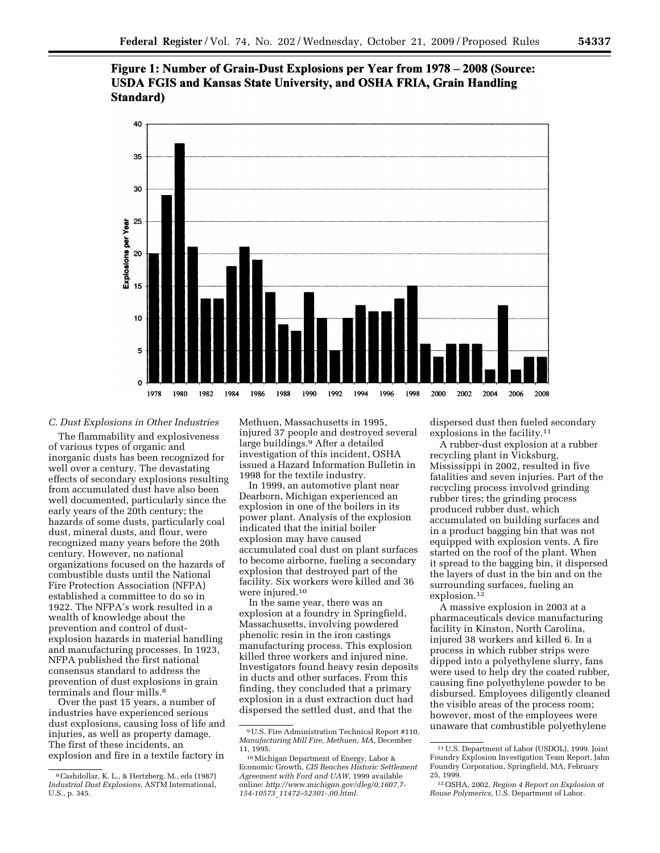Figure 1: Number of Grain-Dust Explosions per Year from 1978 – 2008 (Source: **USDA FGIS and Kansas State University, and OSHA FRIA, Grain Handling** Standard)



# *C. Dust Explosions in Other Industries*

The flammability and explosiveness of various types of organic and inorganic dusts has been recognized for well over a century. The devastating effects of secondary explosions resulting from accumulated dust have also been well documented, particularly since the early years of the 20th century; the hazards of some dusts, particularly coal dust, mineral dusts, and flour, were recognized many years before the 20th century. However, no national organizations focused on the hazards of combustible dusts until the National Fire Protection Association (NFPA) established a committee to do so in 1922. The NFPA's work resulted in a wealth of knowledge about the prevention and control of dustexplosion hazards in material handling and manufacturing processes. In 1923, NFPA published the first national consensus standard to address the prevention of dust explosions in grain terminals and flour mills.<sup>8</sup>

Over the past 15 years, a number of industries have experienced serious dust explosions, causing loss of life and injuries, as well as property damage. The first of these incidents, an explosion and fire in a textile factory in

Methuen, Massachusetts in 1995, injured 37 people and destroyed several large buildings.<sup>9</sup> After a detailed investigation of this incident, OSHA issued a Hazard Information Bulletin in 1998 for the textile industry.

In 1999, an automotive plant near Dearborn, Michigan experienced an explosion in one of the boilers in its power plant. Analysis of the explosion indicated that the initial boiler explosion may have caused accumulated coal dust on plant surfaces to become airborne, fueling a secondary explosion that destroyed part of the facility. Six workers were killed and 36 were injured.10

In the same year, there was an explosion at a foundry in Springfield, Massachusetts, involving powdered phenolic resin in the iron castings manufacturing process. This explosion killed three workers and injured nine. Investigators found heavy resin deposits in ducts and other surfaces. From this finding, they concluded that a primary explosion in a dust extraction duct had dispersed the settled dust, and that the

dispersed dust then fueled secondary explosions in the facility.11

A rubber-dust explosion at a rubber recycling plant in Vicksburg, Mississippi in 2002, resulted in five fatalities and seven injuries. Part of the recycling process involved grinding rubber tires; the grinding process produced rubber dust, which accumulated on building surfaces and in a product bagging bin that was not equipped with explosion vents. A fire started on the roof of the plant. When it spread to the bagging bin, it dispersed the layers of dust in the bin and on the surrounding surfaces, fueling an explosion.<sup>12</sup>

A massive explosion in 2003 at a pharmaceuticals device manufacturing facility in Kinston, North Carolina, injured 38 workers and killed 6. In a process in which rubber strips were dipped into a polyethylene slurry, fans were used to help dry the coated rubber, causing fine polyethylene powder to be disbursed. Employees diligently cleaned the visible areas of the process room; however, most of the employees were unaware that combustible polyethylene

<sup>8</sup>Cashdollar, K. L., & Hertzberg, M., eds (1987) *Industrial Dust Explosions,* ASTM International, U.S., p. 345.

<sup>9</sup>U.S. Fire Administration Technical Report #110, *Manufacturing Mill Fire, Methuen, MA,* December 11, 1995.

<sup>10</sup>Michigan Department of Energy, Labor & Economic Growth, *CIS Reaches Historic Settlement Agreement with Ford and UAW,* 1999 available online: *http://www.michigan.gov/dleg/0,1607,7- 154-10573*\_*11472–52301-,00.html.* 

<sup>11</sup>U.S. Department of Labor (USDOL), 1999. Joint Foundry Explosion Investigation Team Report, Jahn Foundry Corporation, Springfield, MA, February 25, 1999.

<sup>12</sup>OSHA, 2002, *Region 4 Report on Explosion at Rouse Polymerics,* U.S. Department of Labor.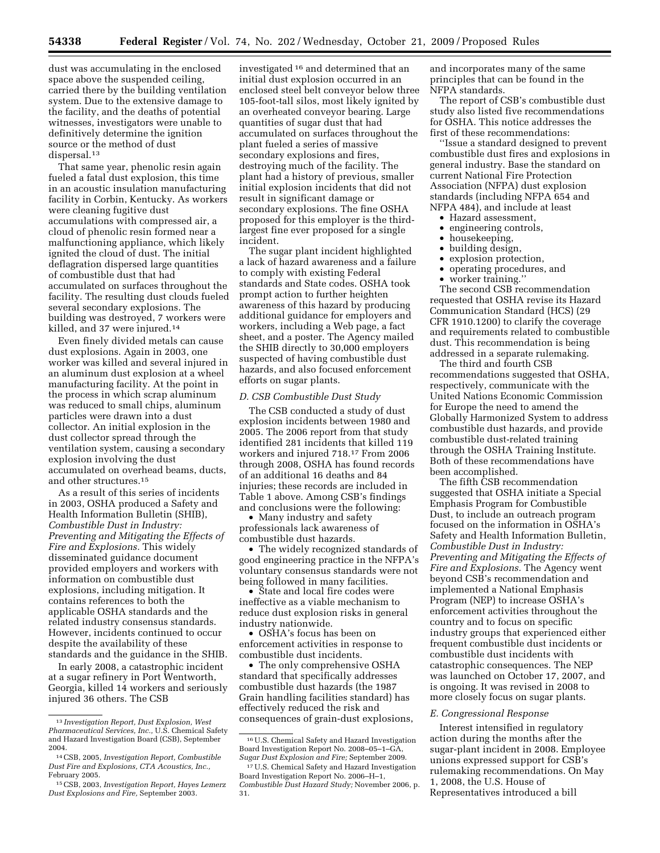dust was accumulating in the enclosed space above the suspended ceiling, carried there by the building ventilation system. Due to the extensive damage to the facility, and the deaths of potential witnesses, investigators were unable to definitively determine the ignition source or the method of dust dispersal.13

That same year, phenolic resin again fueled a fatal dust explosion, this time in an acoustic insulation manufacturing facility in Corbin, Kentucky. As workers were cleaning fugitive dust accumulations with compressed air, a cloud of phenolic resin formed near a malfunctioning appliance, which likely ignited the cloud of dust. The initial deflagration dispersed large quantities of combustible dust that had accumulated on surfaces throughout the facility. The resulting dust clouds fueled several secondary explosions. The building was destroyed, 7 workers were killed, and 37 were injured.14

Even finely divided metals can cause dust explosions. Again in 2003, one worker was killed and several injured in an aluminum dust explosion at a wheel manufacturing facility. At the point in the process in which scrap aluminum was reduced to small chips, aluminum particles were drawn into a dust collector. An initial explosion in the dust collector spread through the ventilation system, causing a secondary explosion involving the dust accumulated on overhead beams, ducts, and other structures.15

As a result of this series of incidents in 2003, OSHA produced a Safety and Health Information Bulletin (SHIB), *Combustible Dust in Industry: Preventing and Mitigating the Effects of Fire and Explosions.* This widely disseminated guidance document provided employers and workers with information on combustible dust explosions, including mitigation. It contains references to both the applicable OSHA standards and the related industry consensus standards. However, incidents continued to occur despite the availability of these standards and the guidance in the SHIB.

In early 2008, a catastrophic incident at a sugar refinery in Port Wentworth, Georgia, killed 14 workers and seriously injured 36 others. The CSB

investigated 16 and determined that an initial dust explosion occurred in an enclosed steel belt conveyor below three 105-foot-tall silos, most likely ignited by an overheated conveyor bearing. Large quantities of sugar dust that had accumulated on surfaces throughout the plant fueled a series of massive secondary explosions and fires, destroying much of the facility. The plant had a history of previous, smaller initial explosion incidents that did not result in significant damage or secondary explosions. The fine OSHA proposed for this employer is the thirdlargest fine ever proposed for a single incident.

The sugar plant incident highlighted a lack of hazard awareness and a failure to comply with existing Federal standards and State codes. OSHA took prompt action to further heighten awareness of this hazard by producing additional guidance for employers and workers, including a Web page, a fact sheet, and a poster. The Agency mailed the SHIB directly to 30,000 employers suspected of having combustible dust hazards, and also focused enforcement efforts on sugar plants.

#### *D. CSB Combustible Dust Study*

The CSB conducted a study of dust explosion incidents between 1980 and 2005. The 2006 report from that study identified 281 incidents that killed 119 workers and injured 718.17 From 2006 through 2008, OSHA has found records of an additional 16 deaths and 84 injuries; these records are included in Table 1 above. Among CSB's findings and conclusions were the following:

• Many industry and safety professionals lack awareness of combustible dust hazards.

• The widely recognized standards of good engineering practice in the NFPA's voluntary consensus standards were not being followed in many facilities.

• State and local fire codes were ineffective as a viable mechanism to reduce dust explosion risks in general industry nationwide.

• OSHA's focus has been on enforcement activities in response to combustible dust incidents.

• The only comprehensive OSHA standard that specifically addresses combustible dust hazards (the 1987 Grain handling facilities standard) has effectively reduced the risk and consequences of grain-dust explosions, and incorporates many of the same principles that can be found in the NFPA standards.

The report of CSB's combustible dust study also listed five recommendations for OSHA. This notice addresses the first of these recommendations:

''Issue a standard designed to prevent combustible dust fires and explosions in general industry. Base the standard on current National Fire Protection Association (NFPA) dust explosion standards (including NFPA 654 and NFPA 484), and include at least

- Hazard assessment,
- engineering controls,<br>• housekeeping,
- housekeeping,
- building design,
- explosion protection,
- operating procedures, and
- worker training.''

The second CSB recommendation requested that OSHA revise its Hazard Communication Standard (HCS) (29 CFR 1910.1200) to clarify the coverage and requirements related to combustible dust. This recommendation is being addressed in a separate rulemaking.

The third and fourth CSB recommendations suggested that OSHA, respectively, communicate with the United Nations Economic Commission for Europe the need to amend the Globally Harmonized System to address combustible dust hazards, and provide combustible dust-related training through the OSHA Training Institute. Both of these recommendations have been accomplished.

The fifth CSB recommendation suggested that OSHA initiate a Special Emphasis Program for Combustible Dust, to include an outreach program focused on the information in OSHA's Safety and Health Information Bulletin, *Combustible Dust in Industry: Preventing and Mitigating the Effects of Fire and Explosions.* The Agency went beyond CSB's recommendation and implemented a National Emphasis Program (NEP) to increase OSHA's enforcement activities throughout the country and to focus on specific industry groups that experienced either frequent combustible dust incidents or combustible dust incidents with catastrophic consequences. The NEP was launched on October 17, 2007, and is ongoing. It was revised in 2008 to more closely focus on sugar plants.

#### *E. Congressional Response*

Interest intensified in regulatory action during the months after the sugar-plant incident in 2008. Employee unions expressed support for CSB's rulemaking recommendations. On May 1, 2008, the U.S. House of Representatives introduced a bill

<sup>13</sup> *Investigation Report, Dust Explosion, West Pharmaceutical Services, Inc.,* U.S. Chemical Safety and Hazard Investigation Board (CSB), September 2004.

<sup>14</sup>CSB, 2005, *Investigation Report, Combustible Dust Fire and Explosions, CTA Acoustics, Inc.,*  February 2005.

<sup>15</sup>CSB, 2003, *Investigation Report, Hayes Lemerz Dust Explosions and Fire,* September 2003.

<sup>16</sup>U.S. Chemical Safety and Hazard Investigation Board Investigation Report No. 2008–05–1–GA, *Sugar Dust Explosion and Fire;* September 2009.

<sup>17</sup>U.S. Chemical Safety and Hazard Investigation Board Investigation Report No. 2006–H–1, *Combustible Dust Hazard Study;* November 2006, p. 31.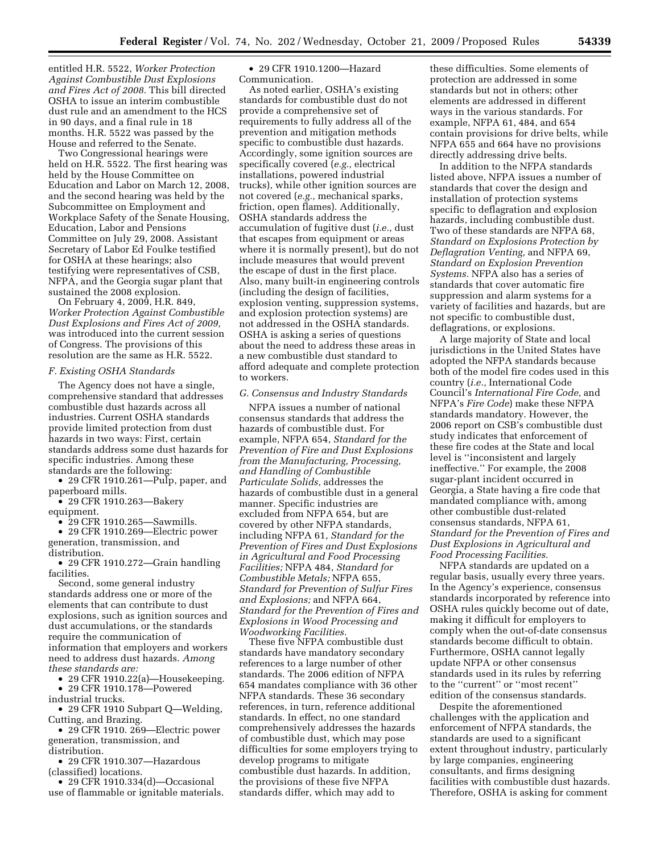entitled H.R. 5522, *Worker Protection Against Combustible Dust Explosions and Fires Act of 2008.* This bill directed OSHA to issue an interim combustible dust rule and an amendment to the HCS in 90 days, and a final rule in 18 months. H.R. 5522 was passed by the House and referred to the Senate.

Two Congressional hearings were held on H.R. 5522. The first hearing was held by the House Committee on Education and Labor on March 12, 2008, and the second hearing was held by the Subcommittee on Employment and Workplace Safety of the Senate Housing, Education, Labor and Pensions Committee on July 29, 2008. Assistant Secretary of Labor Ed Foulke testified for OSHA at these hearings; also testifying were representatives of CSB, NFPA, and the Georgia sugar plant that sustained the 2008 explosion.

On February 4, 2009, H.R. 849, *Worker Protection Against Combustible Dust Explosions and Fires Act of 2009,*  was introduced into the current session of Congress. The provisions of this resolution are the same as H.R. 5522.

#### *F. Existing OSHA Standards*

The Agency does not have a single, comprehensive standard that addresses combustible dust hazards across all industries. Current OSHA standards provide limited protection from dust hazards in two ways: First, certain standards address some dust hazards for specific industries. Among these standards are the following:

• 29 CFR 1910.261—Pulp, paper, and paperboard mills.

• 29 CFR 1910.263—Bakery equipment.

• 29 CFR 1910.265—Sawmills.

• 29 CFR 1910.269—Electric power generation, transmission, and distribution.

• 29 CFR 1910.272—Grain handling facilities.

Second, some general industry standards address one or more of the elements that can contribute to dust explosions, such as ignition sources and dust accumulations, or the standards require the communication of information that employers and workers need to address dust hazards. *Among these standards are:* 

• 29 CFR 1910.22(a)—Housekeeping.

• 29 CFR 1910.178—Powered

industrial trucks.

• 29 CFR 1910 Subpart Q—Welding, Cutting, and Brazing.

• 29 CFR 1910. 269—Electric power generation, transmission, and distribution.

• 29 CFR 1910.307—Hazardous (classified) locations.

• 29 CFR 1910.334(d)—Occasional use of flammable or ignitable materials.

• 29 CFR 1910.1200—Hazard Communication.

As noted earlier, OSHA's existing standards for combustible dust do not provide a comprehensive set of requirements to fully address all of the prevention and mitigation methods specific to combustible dust hazards. Accordingly, some ignition sources are specifically covered (*e.g.,* electrical installations, powered industrial trucks), while other ignition sources are not covered (*e.g.,* mechanical sparks, friction, open flames). Additionally, OSHA standards address the accumulation of fugitive dust (*i.e.,* dust that escapes from equipment or areas where it is normally present), but do not include measures that would prevent the escape of dust in the first place. Also, many built-in engineering controls (including the design of facilities, explosion venting, suppression systems, and explosion protection systems) are not addressed in the OSHA standards. OSHA is asking a series of questions about the need to address these areas in a new combustible dust standard to afford adequate and complete protection to workers.

#### *G. Consensus and Industry Standards*

NFPA issues a number of national consensus standards that address the hazards of combustible dust. For example, NFPA 654, *Standard for the Prevention of Fire and Dust Explosions from the Manufacturing, Processing, and Handling of Combustible Particulate Solids,* addresses the hazards of combustible dust in a general manner. Specific industries are excluded from NFPA 654, but are covered by other NFPA standards, including NFPA 61, *Standard for the Prevention of Fires and Dust Explosions in Agricultural and Food Processing Facilities;* NFPA 484, *Standard for Combustible Metals;* NFPA 655, *Standard for Prevention of Sulfur Fires and Explosions;* and NFPA 664, *Standard for the Prevention of Fires and Explosions in Wood Processing and Woodworking Facilities.* 

These five NFPA combustible dust standards have mandatory secondary references to a large number of other standards. The 2006 edition of NFPA 654 mandates compliance with 36 other NFPA standards. These 36 secondary references, in turn, reference additional standards. In effect, no one standard comprehensively addresses the hazards of combustible dust, which may pose difficulties for some employers trying to develop programs to mitigate combustible dust hazards. In addition, the provisions of these five NFPA standards differ, which may add to

these difficulties. Some elements of protection are addressed in some standards but not in others; other elements are addressed in different ways in the various standards. For example, NFPA 61, 484, and 654 contain provisions for drive belts, while NFPA 655 and 664 have no provisions directly addressing drive belts.

In addition to the NFPA standards listed above, NFPA issues a number of standards that cover the design and installation of protection systems specific to deflagration and explosion hazards, including combustible dust. Two of these standards are NFPA 68, *Standard on Explosions Protection by Deflagration Venting,* and NFPA 69, *Standard on Explosion Prevention Systems.* NFPA also has a series of standards that cover automatic fire suppression and alarm systems for a variety of facilities and hazards, but are not specific to combustible dust, deflagrations, or explosions.

A large majority of State and local jurisdictions in the United States have adopted the NFPA standards because both of the model fire codes used in this country (*i.e.,* International Code Council's *International Fire Code,* and NFPA's *Fire Code*) make these NFPA standards mandatory. However, the 2006 report on CSB's combustible dust study indicates that enforcement of these fire codes at the State and local level is ''inconsistent and largely ineffective.'' For example, the 2008 sugar-plant incident occurred in Georgia, a State having a fire code that mandated compliance with, among other combustible dust-related consensus standards, NFPA 61, *Standard for the Prevention of Fires and Dust Explosions in Agricultural and Food Processing Facilities.* 

NFPA standards are updated on a regular basis, usually every three years. In the Agency's experience, consensus standards incorporated by reference into OSHA rules quickly become out of date, making it difficult for employers to comply when the out-of-date consensus standards become difficult to obtain. Furthermore, OSHA cannot legally update NFPA or other consensus standards used in its rules by referring to the ''current'' or ''most recent'' edition of the consensus standards.

Despite the aforementioned challenges with the application and enforcement of NFPA standards, the standards are used to a significant extent throughout industry, particularly by large companies, engineering consultants, and firms designing facilities with combustible dust hazards. Therefore, OSHA is asking for comment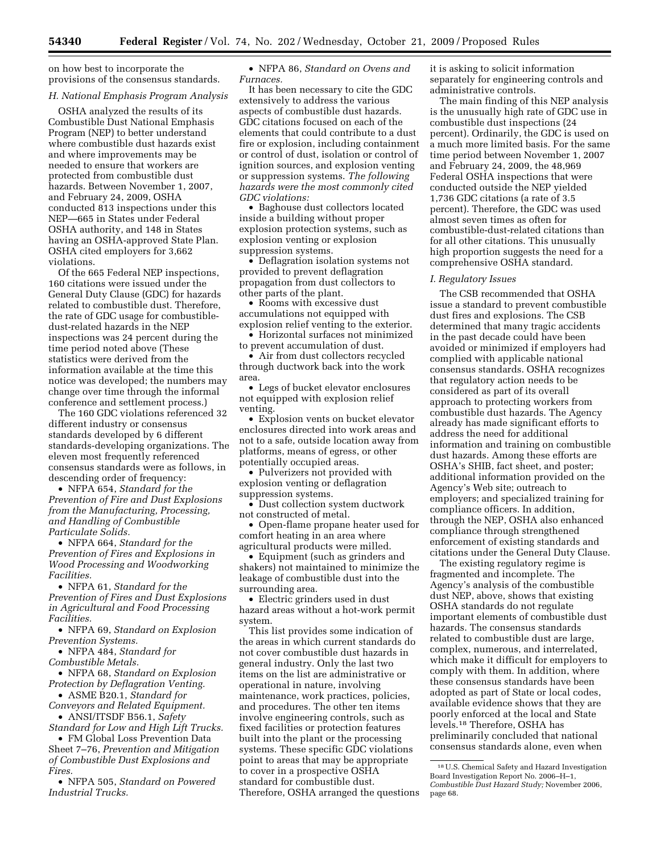on how best to incorporate the provisions of the consensus standards.

#### *H. National Emphasis Program Analysis*

OSHA analyzed the results of its Combustible Dust National Emphasis Program (NEP) to better understand where combustible dust hazards exist and where improvements may be needed to ensure that workers are protected from combustible dust hazards. Between November 1, 2007, and February 24, 2009, OSHA conducted 813 inspections under this NEP—665 in States under Federal OSHA authority, and 148 in States having an OSHA-approved State Plan. OSHA cited employers for 3,662 violations.

Of the 665 Federal NEP inspections, 160 citations were issued under the General Duty Clause (GDC) for hazards related to combustible dust. Therefore, the rate of GDC usage for combustibledust-related hazards in the NEP inspections was 24 percent during the time period noted above (These statistics were derived from the information available at the time this notice was developed; the numbers may change over time through the informal conference and settlement process.)

The 160 GDC violations referenced 32 different industry or consensus standards developed by 6 different standards-developing organizations. The eleven most frequently referenced consensus standards were as follows, in descending order of frequency:

• NFPA 654, *Standard for the Prevention of Fire and Dust Explosions from the Manufacturing, Processing, and Handling of Combustible Particulate Solids.* 

• NFPA 664, *Standard for the Prevention of Fires and Explosions in Wood Processing and Woodworking Facilities.* 

• NFPA 61, *Standard for the Prevention of Fires and Dust Explosions in Agricultural and Food Processing Facilities.* 

• NFPA 69, *Standard on Explosion Prevention Systems.* 

• NFPA 484, *Standard for Combustible Metals.* 

• NFPA 68, *Standard on Explosion Protection by Deflagration Venting.* 

• ASME B20.1, *Standard for Conveyors and Related Equipment.* 

• ANSI/ITSDF B56.1, *Safety* 

*Standard for Low and High Lift Trucks.*  • FM Global Loss Prevention Data

Sheet 7–76, *Prevention and Mitigation of Combustible Dust Explosions and Fires.* 

• NFPA 505, *Standard on Powered Industrial Trucks.* 

• NFPA 86, *Standard on Ovens and Furnaces.* 

It has been necessary to cite the GDC extensively to address the various aspects of combustible dust hazards. GDC citations focused on each of the elements that could contribute to a dust fire or explosion, including containment or control of dust, isolation or control of ignition sources, and explosion venting or suppression systems. *The following hazards were the most commonly cited GDC violations:* 

• Baghouse dust collectors located inside a building without proper explosion protection systems, such as explosion venting or explosion suppression systems.

• Deflagration isolation systems not provided to prevent deflagration propagation from dust collectors to other parts of the plant.

• Rooms with excessive dust accumulations not equipped with explosion relief venting to the exterior.

• Horizontal surfaces not minimized to prevent accumulation of dust.

• Air from dust collectors recycled through ductwork back into the work area.

• Legs of bucket elevator enclosures not equipped with explosion relief venting.

• Explosion vents on bucket elevator enclosures directed into work areas and not to a safe, outside location away from platforms, means of egress, or other potentially occupied areas.

• Pulverizers not provided with explosion venting or deflagration suppression systems.

• Dust collection system ductwork not constructed of metal.

• Open-flame propane heater used for comfort heating in an area where agricultural products were milled.

• Equipment (such as grinders and shakers) not maintained to minimize the leakage of combustible dust into the surrounding area.

• Electric grinders used in dust hazard areas without a hot-work permit system.

This list provides some indication of the areas in which current standards do not cover combustible dust hazards in general industry. Only the last two items on the list are administrative or operational in nature, involving maintenance, work practices, policies, and procedures. The other ten items involve engineering controls, such as fixed facilities or protection features built into the plant or the processing systems. These specific GDC violations point to areas that may be appropriate to cover in a prospective OSHA standard for combustible dust. Therefore, OSHA arranged the questions it is asking to solicit information separately for engineering controls and administrative controls.

The main finding of this NEP analysis is the unusually high rate of GDC use in combustible dust inspections (24 percent). Ordinarily, the GDC is used on a much more limited basis. For the same time period between November 1, 2007 and February 24, 2009, the 48,969 Federal OSHA inspections that were conducted outside the NEP yielded 1,736 GDC citations (a rate of 3.5 percent). Therefore, the GDC was used almost seven times as often for combustible-dust-related citations than for all other citations. This unusually high proportion suggests the need for a comprehensive OSHA standard.

#### *I. Regulatory Issues*

The CSB recommended that OSHA issue a standard to prevent combustible dust fires and explosions. The CSB determined that many tragic accidents in the past decade could have been avoided or minimized if employers had complied with applicable national consensus standards. OSHA recognizes that regulatory action needs to be considered as part of its overall approach to protecting workers from combustible dust hazards. The Agency already has made significant efforts to address the need for additional information and training on combustible dust hazards. Among these efforts are OSHA's SHIB, fact sheet, and poster; additional information provided on the Agency's Web site; outreach to employers; and specialized training for compliance officers. In addition, through the NEP, OSHA also enhanced compliance through strengthened enforcement of existing standards and citations under the General Duty Clause.

The existing regulatory regime is fragmented and incomplete. The Agency's analysis of the combustible dust NEP, above, shows that existing OSHA standards do not regulate important elements of combustible dust hazards. The consensus standards related to combustible dust are large, complex, numerous, and interrelated, which make it difficult for employers to comply with them. In addition, where these consensus standards have been adopted as part of State or local codes, available evidence shows that they are poorly enforced at the local and State levels.18 Therefore, OSHA has preliminarily concluded that national consensus standards alone, even when

<sup>18</sup>U.S. Chemical Safety and Hazard Investigation Board Investigation Report No. 2006–H–1, *Combustible Dust Hazard Study;* November 2006, page 68.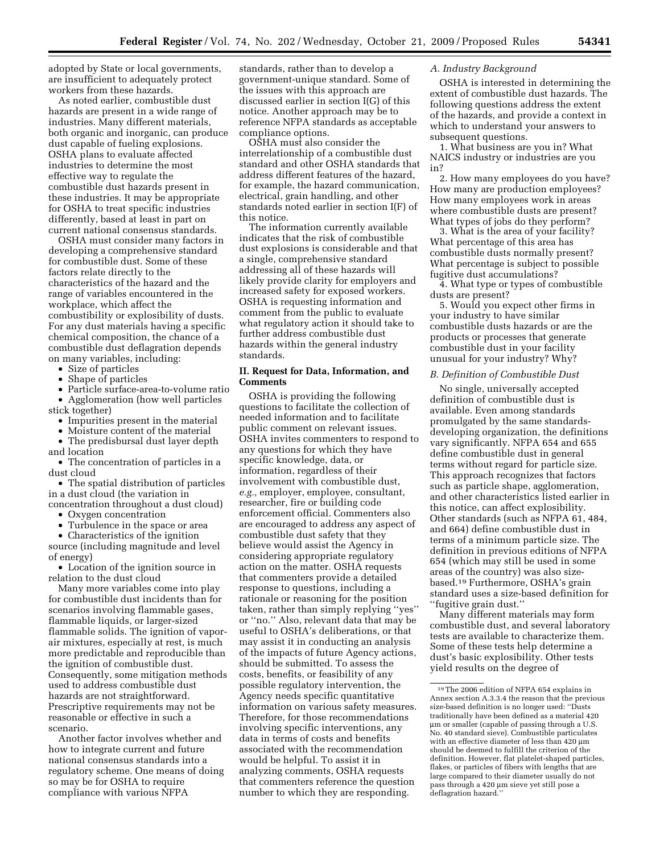adopted by State or local governments, are insufficient to adequately protect workers from these hazards.

As noted earlier, combustible dust hazards are present in a wide range of industries. Many different materials, both organic and inorganic, can produce dust capable of fueling explosions. OSHA plans to evaluate affected industries to determine the most effective way to regulate the combustible dust hazards present in these industries. It may be appropriate for OSHA to treat specific industries differently, based at least in part on current national consensus standards.

OSHA must consider many factors in developing a comprehensive standard for combustible dust. Some of these factors relate directly to the characteristics of the hazard and the range of variables encountered in the workplace, which affect the combustibility or explosibility of dusts. For any dust materials having a specific chemical composition, the chance of a combustible dust deflagration depends on many variables, including:

• Size of particles

• Shape of particles

• Particle surface-area-to-volume ratio • Agglomeration (how well particles

stick together)

• Impurities present in the material

• Moisture content of the material The predisbursal dust layer depth and location

• The concentration of particles in a dust cloud

• The spatial distribution of particles in a dust cloud (the variation in concentration throughout a dust cloud)

• Oxygen concentration

• Turbulence in the space or area

• Characteristics of the ignition source (including magnitude and level of energy)

• Location of the ignition source in relation to the dust cloud

Many more variables come into play for combustible dust incidents than for scenarios involving flammable gases, flammable liquids, or larger-sized flammable solids. The ignition of vaporair mixtures, especially at rest, is much more predictable and reproducible than the ignition of combustible dust. Consequently, some mitigation methods used to address combustible dust hazards are not straightforward. Prescriptive requirements may not be reasonable or effective in such a scenario.

Another factor involves whether and how to integrate current and future national consensus standards into a regulatory scheme. One means of doing so may be for OSHA to require compliance with various NFPA

standards, rather than to develop a government-unique standard. Some of the issues with this approach are discussed earlier in section I(G) of this notice. Another approach may be to reference NFPA standards as acceptable compliance options.

OSHA must also consider the interrelationship of a combustible dust standard and other OSHA standards that address different features of the hazard, for example, the hazard communication, electrical, grain handling, and other standards noted earlier in section I(F) of this notice.

The information currently available indicates that the risk of combustible dust explosions is considerable and that a single, comprehensive standard addressing all of these hazards will likely provide clarity for employers and increased safety for exposed workers. OSHA is requesting information and comment from the public to evaluate what regulatory action it should take to further address combustible dust hazards within the general industry standards.

# **II. Request for Data, Information, and Comments**

OSHA is providing the following questions to facilitate the collection of needed information and to facilitate public comment on relevant issues. OSHA invites commenters to respond to any questions for which they have specific knowledge, data, or information, regardless of their involvement with combustible dust, *e.g.,* employer, employee, consultant, researcher, fire or building code enforcement official. Commenters also are encouraged to address any aspect of combustible dust safety that they believe would assist the Agency in considering appropriate regulatory action on the matter. OSHA requests that commenters provide a detailed response to questions, including a rationale or reasoning for the position taken, rather than simply replying ''yes'' or ''no.'' Also, relevant data that may be useful to OSHA's deliberations, or that may assist it in conducting an analysis of the impacts of future Agency actions, should be submitted. To assess the costs, benefits, or feasibility of any possible regulatory intervention, the Agency needs specific quantitative information on various safety measures. Therefore, for those recommendations involving specific interventions, any data in terms of costs and benefits associated with the recommendation would be helpful. To assist it in analyzing comments, OSHA requests that commenters reference the question number to which they are responding.

#### *A. Industry Background*

OSHA is interested in determining the extent of combustible dust hazards. The following questions address the extent of the hazards, and provide a context in which to understand your answers to subsequent questions.

1. What business are you in? What NAICS industry or industries are you in?

2. How many employees do you have? How many are production employees? How many employees work in areas where combustible dusts are present? What types of jobs do they perform?

3. What is the area of your facility? What percentage of this area has combustible dusts normally present? What percentage is subject to possible fugitive dust accumulations?

4. What type or types of combustible dusts are present?

5. Would you expect other firms in your industry to have similar combustible dusts hazards or are the products or processes that generate combustible dust in your facility unusual for your industry? Why?

#### *B. Definition of Combustible Dust*

No single, universally accepted definition of combustible dust is available. Even among standards promulgated by the same standardsdeveloping organization, the definitions vary significantly. NFPA 654 and 655 define combustible dust in general terms without regard for particle size. This approach recognizes that factors such as particle shape, agglomeration, and other characteristics listed earlier in this notice, can affect explosibility. Other standards (such as NFPA 61, 484, and 664) define combustible dust in terms of a minimum particle size. The definition in previous editions of NFPA 654 (which may still be used in some areas of the country) was also sizebased.19 Furthermore, OSHA's grain standard uses a size-based definition for ''fugitive grain dust.''

Many different materials may form combustible dust, and several laboratory tests are available to characterize them. Some of these tests help determine a dust's basic explosibility. Other tests yield results on the degree of

<sup>19</sup>The 2006 edition of NFPA 654 explains in Annex section A.3.3.4 the reason that the previous size-based definition is no longer used: ''Dusts traditionally have been defined as a material 420 μm or smaller (capable of passing through a U.S. No. 40 standard sieve). Combustible particulates with an effective diameter of less than 420 μm should be deemed to fulfill the criterion of the definition. However, flat platelet-shaped particles, flakes, or particles of fibers with lengths that are large compared to their diameter usually do not pass through a 420 μm sieve yet still pose a deflagration hazard.''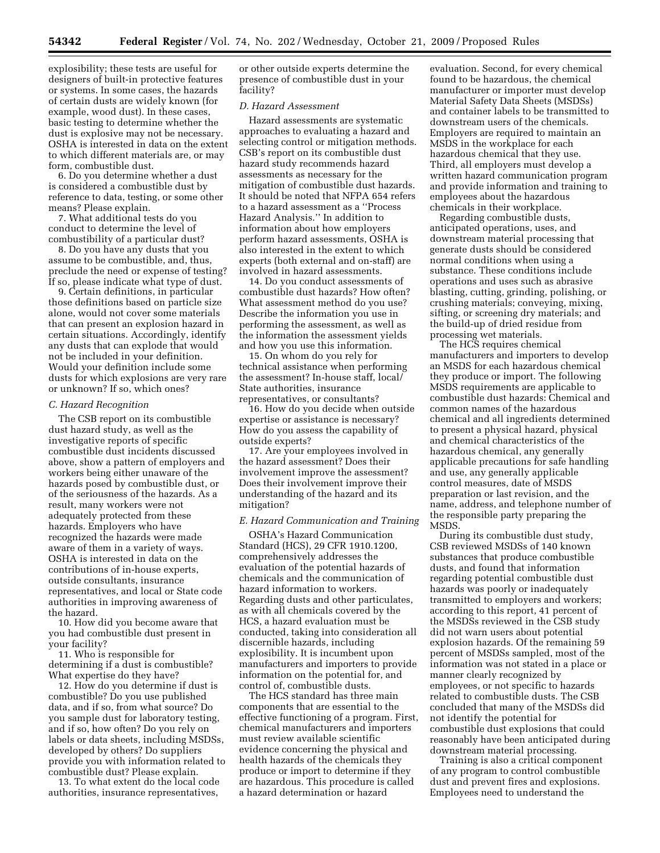explosibility; these tests are useful for designers of built-in protective features or systems. In some cases, the hazards of certain dusts are widely known (for example, wood dust). In these cases, basic testing to determine whether the dust is explosive may not be necessary. OSHA is interested in data on the extent to which different materials are, or may form, combustible dust.

6. Do you determine whether a dust is considered a combustible dust by reference to data, testing, or some other means? Please explain.

7. What additional tests do you conduct to determine the level of combustibility of a particular dust?

8. Do you have any dusts that you assume to be combustible, and, thus, preclude the need or expense of testing? If so, please indicate what type of dust.

9. Certain definitions, in particular those definitions based on particle size alone, would not cover some materials that can present an explosion hazard in certain situations. Accordingly, identify any dusts that can explode that would not be included in your definition. Would your definition include some dusts for which explosions are very rare or unknown? If so, which ones?

#### *C. Hazard Recognition*

The CSB report on its combustible dust hazard study, as well as the investigative reports of specific combustible dust incidents discussed above, show a pattern of employers and workers being either unaware of the hazards posed by combustible dust, or of the seriousness of the hazards. As a result, many workers were not adequately protected from these hazards. Employers who have recognized the hazards were made aware of them in a variety of ways. OSHA is interested in data on the contributions of in-house experts, outside consultants, insurance representatives, and local or State code authorities in improving awareness of the hazard.

10. How did you become aware that you had combustible dust present in your facility?

11. Who is responsible for determining if a dust is combustible? What expertise do they have?

12. How do you determine if dust is combustible? Do you use published data, and if so, from what source? Do you sample dust for laboratory testing, and if so, how often? Do you rely on labels or data sheets, including MSDSs, developed by others? Do suppliers provide you with information related to combustible dust? Please explain.

13. To what extent do the local code authorities, insurance representatives,

or other outside experts determine the presence of combustible dust in your facility?

#### *D. Hazard Assessment*

Hazard assessments are systematic approaches to evaluating a hazard and selecting control or mitigation methods. CSB's report on its combustible dust hazard study recommends hazard assessments as necessary for the mitigation of combustible dust hazards. It should be noted that NFPA 654 refers to a hazard assessment as a ''Process Hazard Analysis.'' In addition to information about how employers perform hazard assessments, OSHA is also interested in the extent to which experts (both external and on-staff) are involved in hazard assessments.

14. Do you conduct assessments of combustible dust hazards? How often? What assessment method do you use? Describe the information you use in performing the assessment, as well as the information the assessment yields and how you use this information.

15. On whom do you rely for technical assistance when performing the assessment? In-house staff, local/ State authorities, insurance representatives, or consultants?

16. How do you decide when outside expertise or assistance is necessary? How do you assess the capability of outside experts?

17. Are your employees involved in the hazard assessment? Does their involvement improve the assessment? Does their involvement improve their understanding of the hazard and its mitigation?

# *E. Hazard Communication and Training*

OSHA's Hazard Communication Standard (HCS), 29 CFR 1910.1200, comprehensively addresses the evaluation of the potential hazards of chemicals and the communication of hazard information to workers. Regarding dusts and other particulates, as with all chemicals covered by the HCS, a hazard evaluation must be conducted, taking into consideration all discernible hazards, including explosibility. It is incumbent upon manufacturers and importers to provide information on the potential for, and control of, combustible dusts.

The HCS standard has three main components that are essential to the effective functioning of a program. First, chemical manufacturers and importers must review available scientific evidence concerning the physical and health hazards of the chemicals they produce or import to determine if they are hazardous. This procedure is called a hazard determination or hazard

evaluation. Second, for every chemical found to be hazardous, the chemical manufacturer or importer must develop Material Safety Data Sheets (MSDSs) and container labels to be transmitted to downstream users of the chemicals. Employers are required to maintain an MSDS in the workplace for each hazardous chemical that they use. Third, all employers must develop a written hazard communication program and provide information and training to employees about the hazardous chemicals in their workplace.

Regarding combustible dusts, anticipated operations, uses, and downstream material processing that generate dusts should be considered normal conditions when using a substance. These conditions include operations and uses such as abrasive blasting, cutting, grinding, polishing, or crushing materials; conveying, mixing, sifting, or screening dry materials; and the build-up of dried residue from processing wet materials.

The HCS requires chemical manufacturers and importers to develop an MSDS for each hazardous chemical they produce or import. The following MSDS requirements are applicable to combustible dust hazards: Chemical and common names of the hazardous chemical and all ingredients determined to present a physical hazard, physical and chemical characteristics of the hazardous chemical, any generally applicable precautions for safe handling and use, any generally applicable control measures, date of MSDS preparation or last revision, and the name, address, and telephone number of the responsible party preparing the MSDS.

During its combustible dust study, CSB reviewed MSDSs of 140 known substances that produce combustible dusts, and found that information regarding potential combustible dust hazards was poorly or inadequately transmitted to employers and workers; according to this report, 41 percent of the MSDSs reviewed in the CSB study did not warn users about potential explosion hazards. Of the remaining 59 percent of MSDSs sampled, most of the information was not stated in a place or manner clearly recognized by employees, or not specific to hazards related to combustible dusts. The CSB concluded that many of the MSDSs did not identify the potential for combustible dust explosions that could reasonably have been anticipated during downstream material processing.

Training is also a critical component of any program to control combustible dust and prevent fires and explosions. Employees need to understand the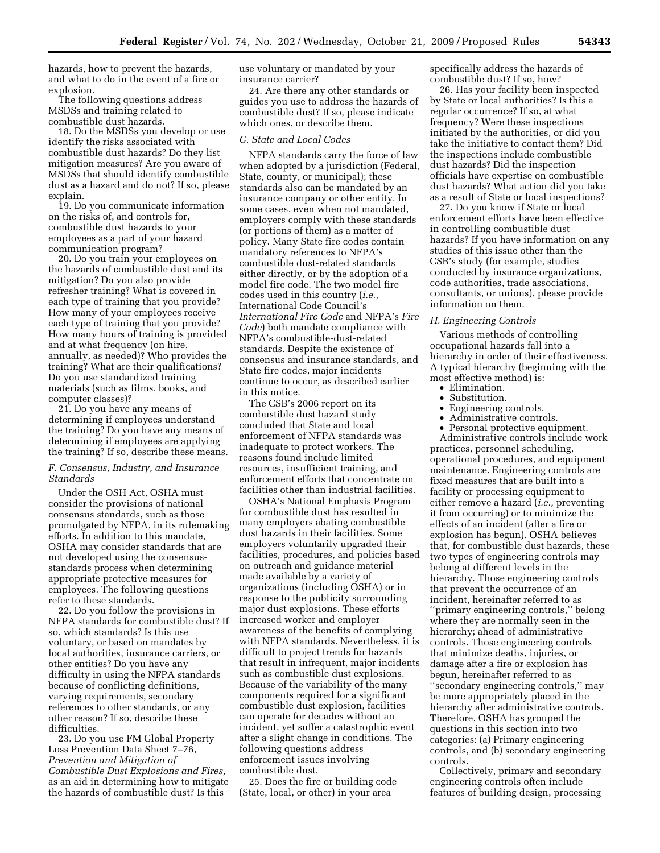hazards, how to prevent the hazards, and what to do in the event of a fire or explosion.

The following questions address MSDSs and training related to combustible dust hazards.

18. Do the MSDSs you develop or use identify the risks associated with combustible dust hazards? Do they list mitigation measures? Are you aware of MSDSs that should identify combustible dust as a hazard and do not? If so, please explain.

19. Do you communicate information on the risks of, and controls for, combustible dust hazards to your employees as a part of your hazard communication program?

20. Do you train your employees on the hazards of combustible dust and its mitigation? Do you also provide refresher training? What is covered in each type of training that you provide? How many of your employees receive each type of training that you provide? How many hours of training is provided and at what frequency (on hire, annually, as needed)? Who provides the training? What are their qualifications? Do you use standardized training materials (such as films, books, and computer classes)?

21. Do you have any means of determining if employees understand the training? Do you have any means of determining if employees are applying the training? If so, describe these means.

# *F. Consensus, Industry, and Insurance Standards*

Under the OSH Act, OSHA must consider the provisions of national consensus standards, such as those promulgated by NFPA, in its rulemaking efforts. In addition to this mandate, OSHA may consider standards that are not developed using the consensusstandards process when determining appropriate protective measures for employees. The following questions refer to these standards.

22. Do you follow the provisions in NFPA standards for combustible dust? If so, which standards? Is this use voluntary, or based on mandates by local authorities, insurance carriers, or other entities? Do you have any difficulty in using the NFPA standards because of conflicting definitions, varying requirements, secondary references to other standards, or any other reason? If so, describe these difficulties.

23. Do you use FM Global Property Loss Prevention Data Sheet 7–76, *Prevention and Mitigation of Combustible Dust Explosions and Fires,*  as an aid in determining how to mitigate the hazards of combustible dust? Is this

use voluntary or mandated by your insurance carrier?

24. Are there any other standards or guides you use to address the hazards of combustible dust? If so, please indicate which ones, or describe them.

#### *G. State and Local Codes*

NFPA standards carry the force of law when adopted by a jurisdiction (Federal, State, county, or municipal); these standards also can be mandated by an insurance company or other entity. In some cases, even when not mandated, employers comply with these standards (or portions of them) as a matter of policy. Many State fire codes contain mandatory references to NFPA's combustible dust-related standards either directly, or by the adoption of a model fire code. The two model fire codes used in this country (*i.e.,*  International Code Council's *International Fire Code* and NFPA's *Fire Code*) both mandate compliance with NFPA's combustible-dust-related standards. Despite the existence of consensus and insurance standards, and State fire codes, major incidents continue to occur, as described earlier in this notice.

The CSB's 2006 report on its combustible dust hazard study concluded that State and local enforcement of NFPA standards was inadequate to protect workers. The reasons found include limited resources, insufficient training, and enforcement efforts that concentrate on facilities other than industrial facilities.

OSHA's National Emphasis Program for combustible dust has resulted in many employers abating combustible dust hazards in their facilities. Some employers voluntarily upgraded their facilities, procedures, and policies based on outreach and guidance material made available by a variety of organizations (including OSHA) or in response to the publicity surrounding major dust explosions. These efforts increased worker and employer awareness of the benefits of complying with NFPA standards. Nevertheless, it is difficult to project trends for hazards that result in infrequent, major incidents such as combustible dust explosions. Because of the variability of the many components required for a significant combustible dust explosion, facilities can operate for decades without an incident, yet suffer a catastrophic event after a slight change in conditions. The following questions address enforcement issues involving combustible dust.

25. Does the fire or building code (State, local, or other) in your area

specifically address the hazards of combustible dust? If so, how?

26. Has your facility been inspected by State or local authorities? Is this a regular occurrence? If so, at what frequency? Were these inspections initiated by the authorities, or did you take the initiative to contact them? Did the inspections include combustible dust hazards? Did the inspection officials have expertise on combustible dust hazards? What action did you take as a result of State or local inspections?

27. Do you know if State or local enforcement efforts have been effective in controlling combustible dust hazards? If you have information on any studies of this issue other than the CSB's study (for example, studies conducted by insurance organizations, code authorities, trade associations, consultants, or unions), please provide information on them.

#### *H. Engineering Controls*

Various methods of controlling occupational hazards fall into a hierarchy in order of their effectiveness. A typical hierarchy (beginning with the most effective method) is:

- Elimination.
- Substitution.
- Engineering controls.
- Administrative controls.
- Personal protective equipment.

Administrative controls include work practices, personnel scheduling, operational procedures, and equipment maintenance. Engineering controls are fixed measures that are built into a facility or processing equipment to either remove a hazard (*i.e.,* preventing it from occurring) or to minimize the effects of an incident (after a fire or explosion has begun). OSHA believes that, for combustible dust hazards, these two types of engineering controls may belong at different levels in the hierarchy. Those engineering controls that prevent the occurrence of an incident, hereinafter referred to as ''primary engineering controls,'' belong where they are normally seen in the hierarchy; ahead of administrative controls. Those engineering controls that minimize deaths, injuries, or damage after a fire or explosion has begun, hereinafter referred to as ''secondary engineering controls,'' may be more appropriately placed in the hierarchy after administrative controls. Therefore, OSHA has grouped the questions in this section into two categories: (a) Primary engineering controls, and (b) secondary engineering controls.

Collectively, primary and secondary engineering controls often include features of building design, processing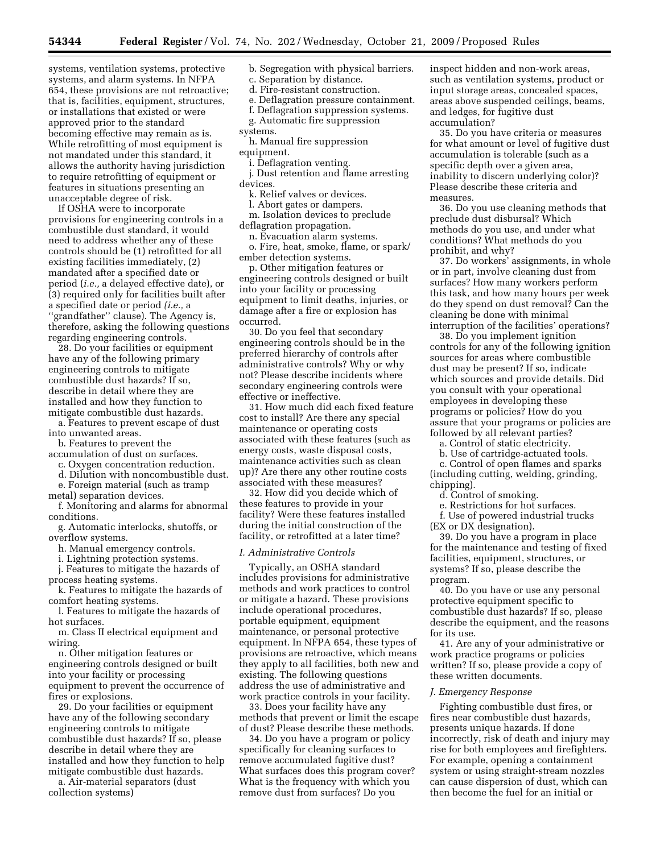systems, ventilation systems, protective systems, and alarm systems. In NFPA 654, these provisions are not retroactive; that is, facilities, equipment, structures, or installations that existed or were approved prior to the standard becoming effective may remain as is. While retrofitting of most equipment is not mandated under this standard, it allows the authority having jurisdiction to require retrofitting of equipment or features in situations presenting an unacceptable degree of risk.

If OSHA were to incorporate provisions for engineering controls in a combustible dust standard, it would need to address whether any of these controls should be (1) retrofitted for all existing facilities immediately, (2) mandated after a specified date or period (*i.e.,* a delayed effective date), or (3) required only for facilities built after a specified date or period *(i.e.,* a "grandfather" clause). The Agency is, therefore, asking the following questions regarding engineering controls.

28. Do your facilities or equipment have any of the following primary engineering controls to mitigate combustible dust hazards? If so, describe in detail where they are installed and how they function to mitigate combustible dust hazards.

a. Features to prevent escape of dust into unwanted areas.

- b. Features to prevent the
- accumulation of dust on surfaces.

c. Oxygen concentration reduction.

d. Dilution with noncombustible dust.

e. Foreign material (such as tramp

metal) separation devices. f. Monitoring and alarms for abnormal

conditions.

g. Automatic interlocks, shutoffs, or overflow systems.

h. Manual emergency controls.

i. Lightning protection systems.

j. Features to mitigate the hazards of process heating systems.

k. Features to mitigate the hazards of comfort heating systems.

l. Features to mitigate the hazards of hot surfaces.

m. Class II electrical equipment and wiring.

n. Other mitigation features or engineering controls designed or built into your facility or processing equipment to prevent the occurrence of fires or explosions.

29. Do your facilities or equipment have any of the following secondary engineering controls to mitigate combustible dust hazards? If so, please describe in detail where they are installed and how they function to help mitigate combustible dust hazards.

a. Air-material separators (dust collection systems)

b. Segregation with physical barriers.

c. Separation by distance.

d. Fire-resistant construction.

e. Deflagration pressure containment.

f. Deflagration suppression systems. g. Automatic fire suppression

- systems.
- h. Manual fire suppression

equipment.

i. Deflagration venting.

j. Dust retention and flame arresting

devices.

k. Relief valves or devices.

l. Abort gates or dampers.

m. Isolation devices to preclude deflagration propagation.

n. Evacuation alarm systems.

o. Fire, heat, smoke, flame, or spark/ ember detection systems.

p. Other mitigation features or engineering controls designed or built into your facility or processing equipment to limit deaths, injuries, or damage after a fire or explosion has occurred.

30. Do you feel that secondary engineering controls should be in the preferred hierarchy of controls after administrative controls? Why or why not? Please describe incidents where secondary engineering controls were effective or ineffective.

31. How much did each fixed feature cost to install? Are there any special maintenance or operating costs associated with these features (such as energy costs, waste disposal costs, maintenance activities such as clean up)? Are there any other routine costs associated with these measures?

32. How did you decide which of these features to provide in your facility? Were these features installed during the initial construction of the facility, or retrofitted at a later time?

#### *I. Administrative Controls*

Typically, an OSHA standard includes provisions for administrative methods and work practices to control or mitigate a hazard. These provisions include operational procedures, portable equipment, equipment maintenance, or personal protective equipment. In NFPA 654, these types of provisions are retroactive, which means they apply to all facilities, both new and existing. The following questions address the use of administrative and work practice controls in your facility.

33. Does your facility have any methods that prevent or limit the escape of dust? Please describe these methods.

34. Do you have a program or policy specifically for cleaning surfaces to remove accumulated fugitive dust? What surfaces does this program cover? What is the frequency with which you remove dust from surfaces? Do you

inspect hidden and non-work areas, such as ventilation systems, product or input storage areas, concealed spaces, areas above suspended ceilings, beams, and ledges, for fugitive dust accumulation?

35. Do you have criteria or measures for what amount or level of fugitive dust accumulation is tolerable (such as a specific depth over a given area, inability to discern underlying color)? Please describe these criteria and measures.

36. Do you use cleaning methods that preclude dust disbursal? Which methods do you use, and under what conditions? What methods do you prohibit, and why?

37. Do workers' assignments, in whole or in part, involve cleaning dust from surfaces? How many workers perform this task, and how many hours per week do they spend on dust removal? Can the cleaning be done with minimal interruption of the facilities' operations?

38. Do you implement ignition controls for any of the following ignition sources for areas where combustible dust may be present? If so, indicate which sources and provide details. Did you consult with your operational employees in developing these programs or policies? How do you assure that your programs or policies are followed by all relevant parties?

a. Control of static electricity.

b. Use of cartridge-actuated tools.

c. Control of open flames and sparks (including cutting, welding, grinding, chipping).

d. Control of smoking.

e. Restrictions for hot surfaces.

f. Use of powered industrial trucks (EX or DX designation).

39. Do you have a program in place for the maintenance and testing of fixed facilities, equipment, structures, or systems? If so, please describe the program.

40. Do you have or use any personal protective equipment specific to combustible dust hazards? If so, please describe the equipment, and the reasons for its use.

41. Are any of your administrative or work practice programs or policies written? If so, please provide a copy of these written documents.

#### *J. Emergency Response*

Fighting combustible dust fires, or fires near combustible dust hazards, presents unique hazards. If done incorrectly, risk of death and injury may rise for both employees and firefighters. For example, opening a containment system or using straight-stream nozzles can cause dispersion of dust, which can then become the fuel for an initial or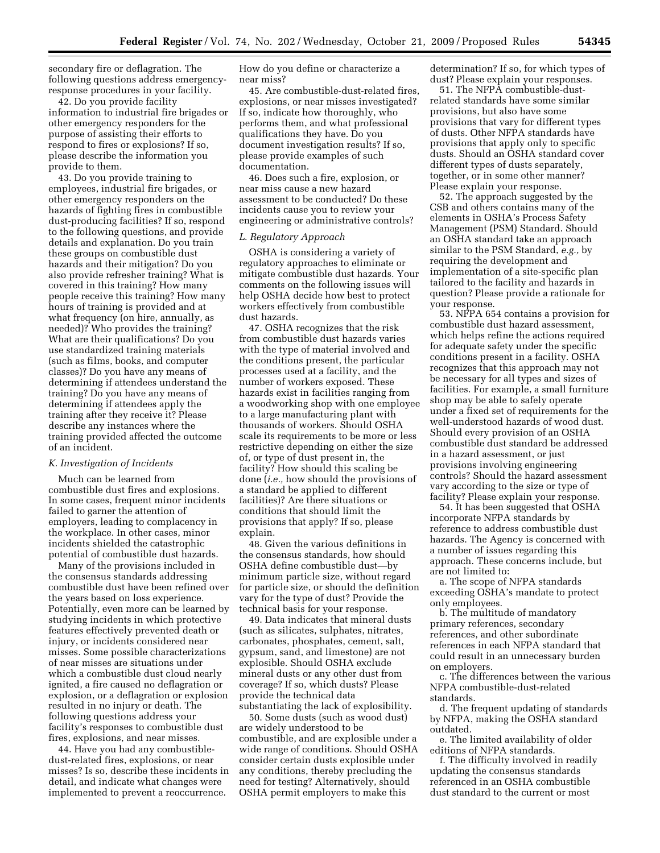secondary fire or deflagration. The following questions address emergencyresponse procedures in your facility.

42. Do you provide facility information to industrial fire brigades or other emergency responders for the purpose of assisting their efforts to respond to fires or explosions? If so, please describe the information you provide to them.

43. Do you provide training to employees, industrial fire brigades, or other emergency responders on the hazards of fighting fires in combustible dust-producing facilities? If so, respond to the following questions, and provide details and explanation. Do you train these groups on combustible dust hazards and their mitigation? Do you also provide refresher training? What is covered in this training? How many people receive this training? How many hours of training is provided and at what frequency (on hire, annually, as needed)? Who provides the training? What are their qualifications? Do you use standardized training materials (such as films, books, and computer classes)? Do you have any means of determining if attendees understand the training? Do you have any means of determining if attendees apply the training after they receive it? Please describe any instances where the training provided affected the outcome of an incident.

## *K. Investigation of Incidents*

Much can be learned from combustible dust fires and explosions. In some cases, frequent minor incidents failed to garner the attention of employers, leading to complacency in the workplace. In other cases, minor incidents shielded the catastrophic potential of combustible dust hazards.

Many of the provisions included in the consensus standards addressing combustible dust have been refined over the years based on loss experience. Potentially, even more can be learned by studying incidents in which protective features effectively prevented death or injury, or incidents considered near misses. Some possible characterizations of near misses are situations under which a combustible dust cloud nearly ignited, a fire caused no deflagration or explosion, or a deflagration or explosion resulted in no injury or death. The following questions address your facility's responses to combustible dust fires, explosions, and near misses.

44. Have you had any combustibledust-related fires, explosions, or near misses? Is so, describe these incidents in detail, and indicate what changes were implemented to prevent a reoccurrence.

How do you define or characterize a near miss?

45. Are combustible-dust-related fires, explosions, or near misses investigated? If so, indicate how thoroughly, who performs them, and what professional qualifications they have. Do you document investigation results? If so, please provide examples of such documentation.

46. Does such a fire, explosion, or near miss cause a new hazard assessment to be conducted? Do these incidents cause you to review your engineering or administrative controls?

#### *L. Regulatory Approach*

OSHA is considering a variety of regulatory approaches to eliminate or mitigate combustible dust hazards. Your comments on the following issues will help OSHA decide how best to protect workers effectively from combustible dust hazards.

47. OSHA recognizes that the risk from combustible dust hazards varies with the type of material involved and the conditions present, the particular processes used at a facility, and the number of workers exposed. These hazards exist in facilities ranging from a woodworking shop with one employee to a large manufacturing plant with thousands of workers. Should OSHA scale its requirements to be more or less restrictive depending on either the size of, or type of dust present in, the facility? How should this scaling be done (*i.e.,* how should the provisions of a standard be applied to different facilities)? Are there situations or conditions that should limit the provisions that apply? If so, please explain.

48. Given the various definitions in the consensus standards, how should OSHA define combustible dust—by minimum particle size, without regard for particle size, or should the definition vary for the type of dust? Provide the technical basis for your response.

49. Data indicates that mineral dusts (such as silicates, sulphates, nitrates, carbonates, phosphates, cement, salt, gypsum, sand, and limestone) are not explosible. Should OSHA exclude mineral dusts or any other dust from coverage? If so, which dusts? Please provide the technical data substantiating the lack of explosibility.

50. Some dusts (such as wood dust) are widely understood to be combustible, and are explosible under a wide range of conditions. Should OSHA consider certain dusts explosible under any conditions, thereby precluding the need for testing? Alternatively, should OSHA permit employers to make this

determination? If so, for which types of dust? Please explain your responses.

51. The NFPA combustible-dustrelated standards have some similar provisions, but also have some provisions that vary for different types of dusts. Other NFPA standards have provisions that apply only to specific dusts. Should an OSHA standard cover different types of dusts separately, together, or in some other manner? Please explain your response.

52. The approach suggested by the CSB and others contains many of the elements in OSHA's Process Safety Management (PSM) Standard. Should an OSHA standard take an approach similar to the PSM Standard, *e.g.,* by requiring the development and implementation of a site-specific plan tailored to the facility and hazards in question? Please provide a rationale for your response.

53. NFPA 654 contains a provision for combustible dust hazard assessment, which helps refine the actions required for adequate safety under the specific conditions present in a facility. OSHA recognizes that this approach may not be necessary for all types and sizes of facilities. For example, a small furniture shop may be able to safely operate under a fixed set of requirements for the well-understood hazards of wood dust. Should every provision of an OSHA combustible dust standard be addressed in a hazard assessment, or just provisions involving engineering controls? Should the hazard assessment vary according to the size or type of facility? Please explain your response.

54. It has been suggested that OSHA incorporate NFPA standards by reference to address combustible dust hazards. The Agency is concerned with a number of issues regarding this approach. These concerns include, but are not limited to:

a. The scope of NFPA standards exceeding OSHA's mandate to protect only employees.

b. The multitude of mandatory primary references, secondary references, and other subordinate references in each NFPA standard that could result in an unnecessary burden on employers.

c. The differences between the various NFPA combustible-dust-related standards.

d. The frequent updating of standards by NFPA, making the OSHA standard outdated.

e. The limited availability of older editions of NFPA standards.

f. The difficulty involved in readily updating the consensus standards referenced in an OSHA combustible dust standard to the current or most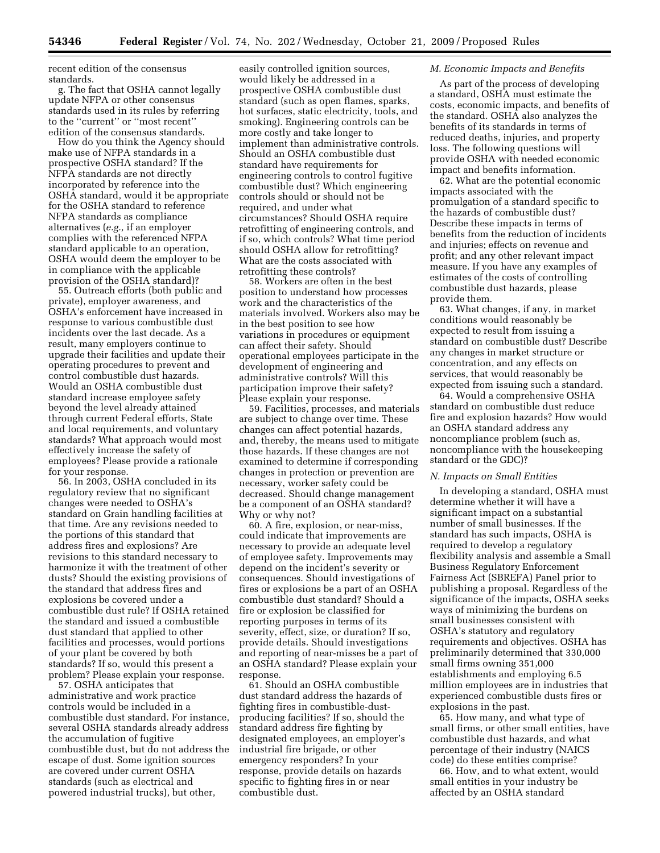recent edition of the consensus standards.

g. The fact that OSHA cannot legally update NFPA or other consensus standards used in its rules by referring to the ''current'' or ''most recent'' edition of the consensus standards.

How do you think the Agency should make use of NFPA standards in a prospective OSHA standard? If the NFPA standards are not directly incorporated by reference into the OSHA standard, would it be appropriate for the OSHA standard to reference NFPA standards as compliance alternatives (*e.g.,* if an employer complies with the referenced NFPA standard applicable to an operation, OSHA would deem the employer to be in compliance with the applicable provision of the OSHA standard)?

55. Outreach efforts (both public and private), employer awareness, and OSHA's enforcement have increased in response to various combustible dust incidents over the last decade. As a result, many employers continue to upgrade their facilities and update their operating procedures to prevent and control combustible dust hazards. Would an OSHA combustible dust standard increase employee safety beyond the level already attained through current Federal efforts, State and local requirements, and voluntary standards? What approach would most effectively increase the safety of employees? Please provide a rationale for your response.

56. In 2003, OSHA concluded in its regulatory review that no significant changes were needed to OSHA's standard on Grain handling facilities at that time. Are any revisions needed to the portions of this standard that address fires and explosions? Are revisions to this standard necessary to harmonize it with the treatment of other dusts? Should the existing provisions of the standard that address fires and explosions be covered under a combustible dust rule? If OSHA retained the standard and issued a combustible dust standard that applied to other facilities and processes, would portions of your plant be covered by both standards? If so, would this present a problem? Please explain your response.

57. OSHA anticipates that administrative and work practice controls would be included in a combustible dust standard. For instance, several OSHA standards already address the accumulation of fugitive combustible dust, but do not address the escape of dust. Some ignition sources are covered under current OSHA standards (such as electrical and powered industrial trucks), but other,

easily controlled ignition sources, would likely be addressed in a prospective OSHA combustible dust standard (such as open flames, sparks, hot surfaces, static electricity, tools, and smoking). Engineering controls can be more costly and take longer to implement than administrative controls. Should an OSHA combustible dust standard have requirements for engineering controls to control fugitive combustible dust? Which engineering controls should or should not be required, and under what circumstances? Should OSHA require retrofitting of engineering controls, and if so, which controls? What time period should OSHA allow for retrofitting? What are the costs associated with retrofitting these controls?

58. Workers are often in the best position to understand how processes work and the characteristics of the materials involved. Workers also may be in the best position to see how variations in procedures or equipment can affect their safety. Should operational employees participate in the development of engineering and administrative controls? Will this participation improve their safety? Please explain your response.

59. Facilities, processes, and materials are subject to change over time. These changes can affect potential hazards, and, thereby, the means used to mitigate those hazards. If these changes are not examined to determine if corresponding changes in protection or prevention are necessary, worker safety could be decreased. Should change management be a component of an OSHA standard? Why or why not?

60. A fire, explosion, or near-miss, could indicate that improvements are necessary to provide an adequate level of employee safety. Improvements may depend on the incident's severity or consequences. Should investigations of fires or explosions be a part of an OSHA combustible dust standard? Should a fire or explosion be classified for reporting purposes in terms of its severity, effect, size, or duration? If so, provide details. Should investigations and reporting of near-misses be a part of an OSHA standard? Please explain your response.

61. Should an OSHA combustible dust standard address the hazards of fighting fires in combustible-dustproducing facilities? If so, should the standard address fire fighting by designated employees, an employer's industrial fire brigade, or other emergency responders? In your response, provide details on hazards specific to fighting fires in or near combustible dust.

# *M. Economic Impacts and Benefits*

As part of the process of developing a standard, OSHA must estimate the costs, economic impacts, and benefits of the standard. OSHA also analyzes the benefits of its standards in terms of reduced deaths, injuries, and property loss. The following questions will provide OSHA with needed economic impact and benefits information.

62. What are the potential economic impacts associated with the promulgation of a standard specific to the hazards of combustible dust? Describe these impacts in terms of benefits from the reduction of incidents and injuries; effects on revenue and profit; and any other relevant impact measure. If you have any examples of estimates of the costs of controlling combustible dust hazards, please provide them.

63. What changes, if any, in market conditions would reasonably be expected to result from issuing a standard on combustible dust? Describe any changes in market structure or concentration, and any effects on services, that would reasonably be expected from issuing such a standard.

64. Would a comprehensive OSHA standard on combustible dust reduce fire and explosion hazards? How would an OSHA standard address any noncompliance problem (such as, noncompliance with the housekeeping standard or the GDC)?

#### *N. Impacts on Small Entities*

In developing a standard, OSHA must determine whether it will have a significant impact on a substantial number of small businesses. If the standard has such impacts, OSHA is required to develop a regulatory flexibility analysis and assemble a Small Business Regulatory Enforcement Fairness Act (SBREFA) Panel prior to publishing a proposal. Regardless of the significance of the impacts, OSHA seeks ways of minimizing the burdens on small businesses consistent with OSHA's statutory and regulatory requirements and objectives. OSHA has preliminarily determined that 330,000 small firms owning 351,000 establishments and employing 6.5 million employees are in industries that experienced combustible dusts fires or explosions in the past.

65. How many, and what type of small firms, or other small entities, have combustible dust hazards, and what percentage of their industry (NAICS code) do these entities comprise?

66. How, and to what extent, would small entities in your industry be affected by an OSHA standard